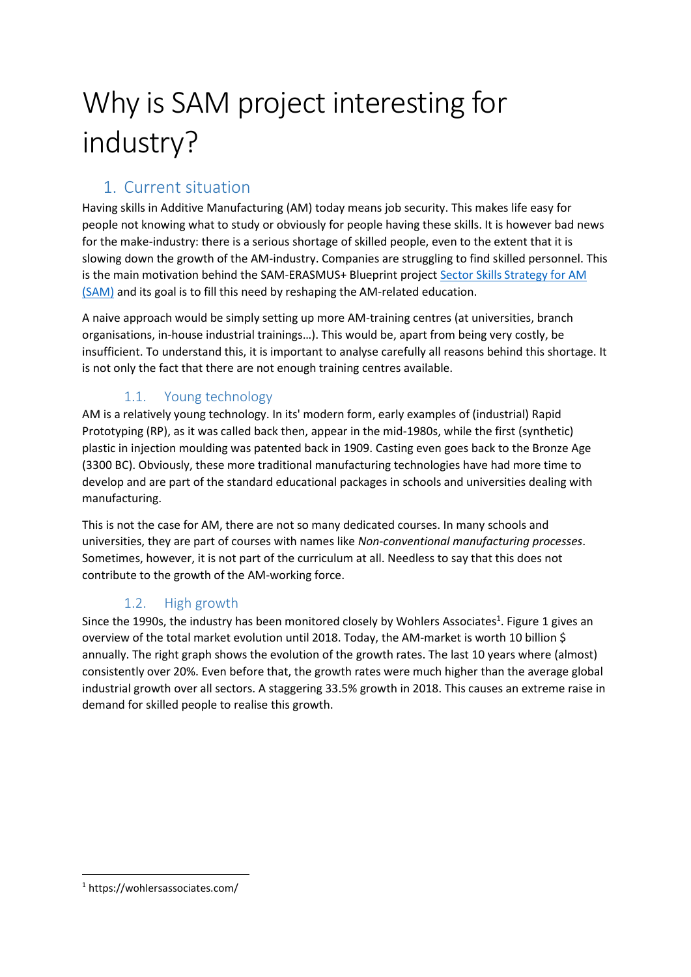# Why is SAM project interesting for industry?

# 1. Current situation

Having skills in Additive Manufacturing (AM) today means job security. This makes life easy for people not knowing what to study or obviously for people having these skills. It is however bad news for the make-industry: there is a serious shortage of skilled people, even to the extent that it is slowing down the growth of the AM-industry. Companies are struggling to find skilled personnel. This is the main motivation behind the SAM-ERASMUS+ Blueprint project Sector Skills [Strategy for AM](http://www.skills4am.eu/) [\(SAM\)](http://www.skills4am.eu/) and its goal is to fill this need by reshaping the AM-related education.

A naive approach would be simply setting up more AM-training centres (at universities, branch organisations, in-house industrial trainings…). This would be, apart from being very costly, be insufficient. To understand this, it is important to analyse carefully all reasons behind this shortage. It is not only the fact that there are not enough training centres available.

## 1.1. Young technology

AM is a relatively young technology. In its' modern form, early examples of (industrial) Rapid Prototyping (RP), as it was called back then, appear in the mid-1980s, while the first (synthetic) plastic in injection moulding was patented back in 1909. Casting even goes back to the Bronze Age (3300 BC). Obviously, these more traditional manufacturing technologies have had more time to develop and are part of the standard educational packages in schools and universities dealing with manufacturing.

This is not the case for AM, there are not so many dedicated courses. In many schools and universities, they are part of courses with names like *Non-conventional manufacturing processes*. Sometimes, however, it is not part of the curriculum at all. Needless to say that this does not contribute to the growth of the AM-working force.

## 1.2. High growth

Since the 1990s, the industry has been monitored closely by Wohlers Associates<sup>1</sup>. [Figure 1](#page-1-0) gives an overview of the total market evolution until 2018. Today, the AM-market is worth 10 billion \$ annually. The right graph shows the evolution of the growth rates. The last 10 years where (almost) consistently over 20%. Even before that, the growth rates were much higher than the average global industrial growth over all sectors. A staggering 33.5% growth in 2018. This causes an extreme raise in demand for skilled people to realise this growth.

<sup>1</sup> <sup>1</sup> https://wohlersassociates.com/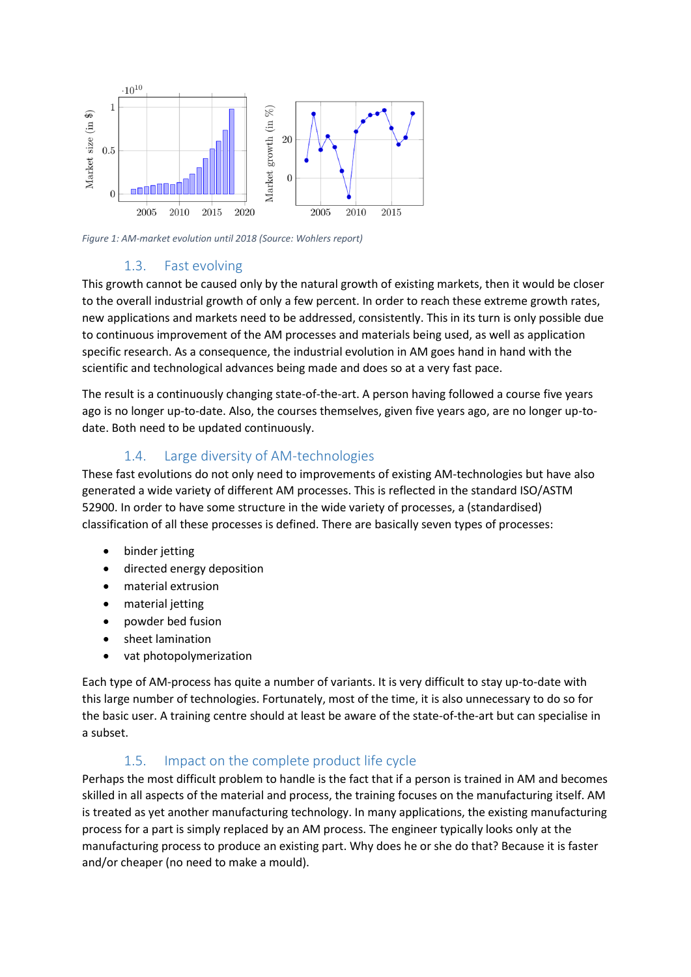

<span id="page-1-0"></span>*Figure 1: AM-market evolution until 2018 (Source: Wohlers report)*

#### 1.3. Fast evolving

This growth cannot be caused only by the natural growth of existing markets, then it would be closer to the overall industrial growth of only a few percent. In order to reach these extreme growth rates, new applications and markets need to be addressed, consistently. This in its turn is only possible due to continuous improvement of the AM processes and materials being used, as well as application specific research. As a consequence, the industrial evolution in AM goes hand in hand with the scientific and technological advances being made and does so at a very fast pace.

The result is a continuously changing state-of-the-art. A person having followed a course five years ago is no longer up-to-date. Also, the courses themselves, given five years ago, are no longer up-todate. Both need to be updated continuously.

#### 1.4. Large diversity of AM-technologies

These fast evolutions do not only need to improvements of existing AM-technologies but have also generated a wide variety of different AM processes. This is reflected in the standard ISO/ASTM 52900. In order to have some structure in the wide variety of processes, a (standardised) classification of all these processes is defined. There are basically seven types of processes:

- binder jetting
- directed energy deposition
- material extrusion
- material jetting
- powder bed fusion
- sheet lamination
- vat photopolymerization

Each type of AM-process has quite a number of variants. It is very difficult to stay up-to-date with this large number of technologies. Fortunately, most of the time, it is also unnecessary to do so for the basic user. A training centre should at least be aware of the state-of-the-art but can specialise in a subset.

## 1.5. Impact on the complete product life cycle

Perhaps the most difficult problem to handle is the fact that if a person is trained in AM and becomes skilled in all aspects of the material and process, the training focuses on the manufacturing itself. AM is treated as yet another manufacturing technology. In many applications, the existing manufacturing process for a part is simply replaced by an AM process. The engineer typically looks only at the manufacturing process to produce an existing part. Why does he or she do that? Because it is faster and/or cheaper (no need to make a mould).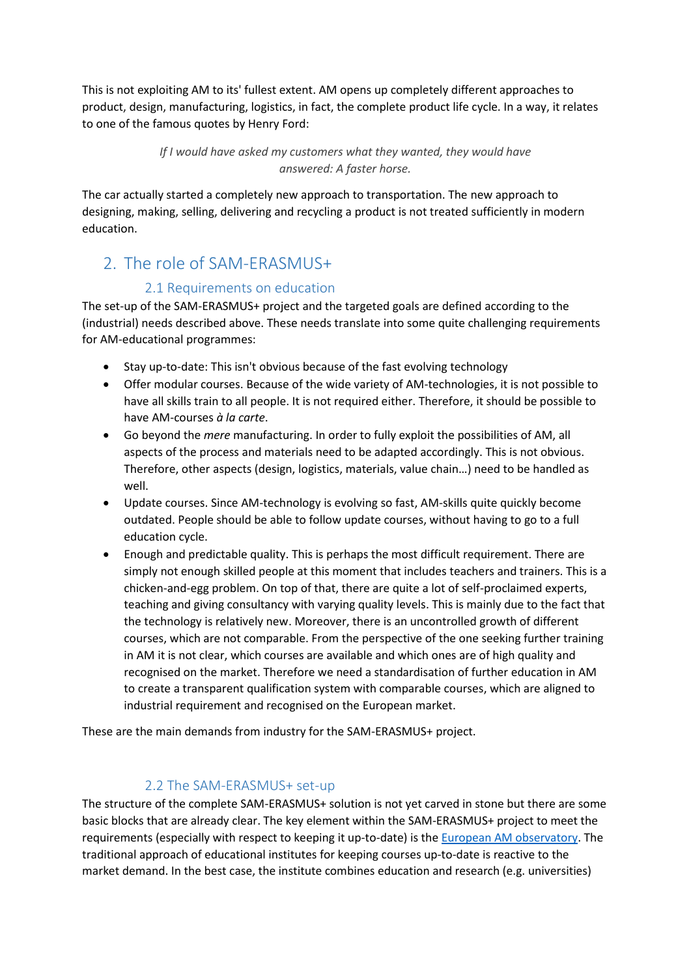This is not exploiting AM to its' fullest extent. AM opens up completely different approaches to product, design, manufacturing, logistics, in fact, the complete product life cycle. In a way, it relates to one of the famous quotes by Henry Ford:

> *If I would have asked my customers what they wanted, they would have answered: A faster horse.*

The car actually started a completely new approach to transportation. The new approach to designing, making, selling, delivering and recycling a product is not treated sufficiently in modern education.

# 2. The role of SAM-ERASMUS+

#### 2.1 Requirements on education

The set-up of the SAM-ERASMUS+ project and the targeted goals are defined according to the (industrial) needs described above. These needs translate into some quite challenging requirements for AM-educational programmes:

- Stay up-to-date: This isn't obvious because of the fast evolving technology
- Offer modular courses. Because of the wide variety of AM-technologies, it is not possible to have all skills train to all people. It is not required either. Therefore, it should be possible to have AM-courses *à la carte*.
- Go beyond the *mere* manufacturing. In order to fully exploit the possibilities of AM, all aspects of the process and materials need to be adapted accordingly. This is not obvious. Therefore, other aspects (design, logistics, materials, value chain…) need to be handled as well.
- Update courses. Since AM-technology is evolving so fast, AM-skills quite quickly become outdated. People should be able to follow update courses, without having to go to a full education cycle.
- Enough and predictable quality. This is perhaps the most difficult requirement. There are simply not enough skilled people at this moment that includes teachers and trainers. This is a chicken-and-egg problem. On top of that, there are quite a lot of self-proclaimed experts, teaching and giving consultancy with varying quality levels. This is mainly due to the fact that the technology is relatively new. Moreover, there is an uncontrolled growth of different courses, which are not comparable. From the perspective of the one seeking further training in AM it is not clear, which courses are available and which ones are of high quality and recognised on the market. Therefore we need a standardisation of further education in AM to create a transparent qualification system with comparable courses, which are aligned to industrial requirement and recognised on the European market.

These are the main demands from industry for the SAM-ERASMUS+ project.

#### 2.2 The SAM-ERASMUS+ set-up

The structure of the complete SAM-ERASMUS+ solution is not yet carved in stone but there are some basic blocks that are already clear. The key element within the SAM-ERASMUS+ project to meet the requirements (especially with respect to keeping it up-to-date) is the [European AM observatory.](http://skills4am.eu/amobservatory.html) The traditional approach of educational institutes for keeping courses up-to-date is reactive to the market demand. In the best case, the institute combines education and research (e.g. universities)